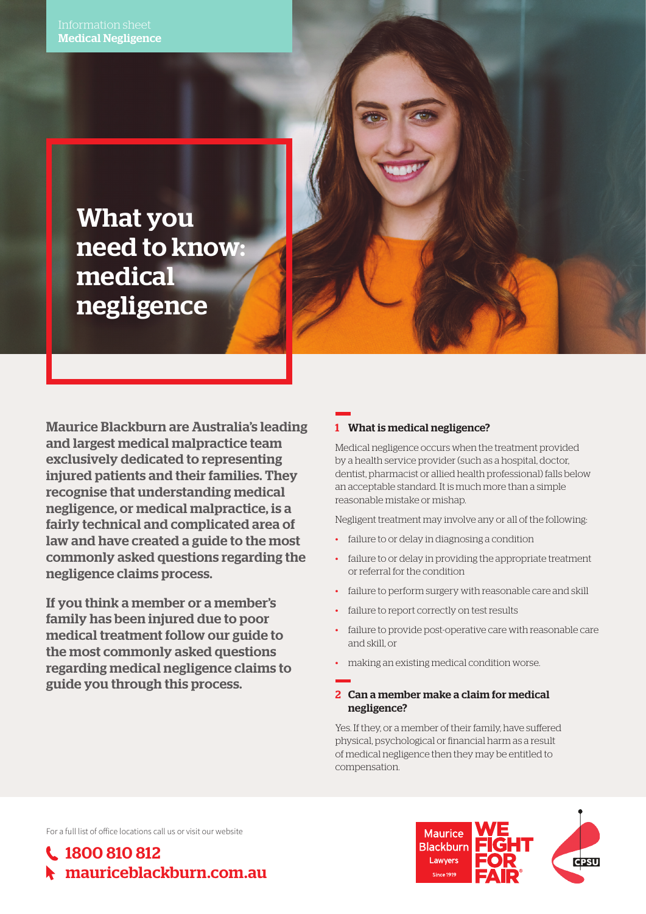What you need to know: medical negligence

Maurice Blackburn are Australia's leading and largest medical malpractice team exclusively dedicated to representing injured patients and their families. They recognise that understanding medical negligence, or medical malpractice, is a fairly technical and complicated area of law and have created a guide to the most commonly asked questions regarding the negligence claims process.

If you think a member or a member's family has been injured due to poor medical treatment follow our guide to the most commonly asked questions regarding medical negligence claims to guide you through this process.

# 1 What is medical negligence?

Medical negligence occurs when the treatment provided by a health service provider (such as a hospital, doctor, dentist, pharmacist or allied health professional) falls below an acceptable standard. It is much more than a simple reasonable mistake or mishap.

Negligent treatment may involve any or all of the following:

- failure to or delay in diagnosing a condition
- failure to or delay in providing the appropriate treatment or referral for the condition
- failure to perform surgery with reasonable care and skill
- failure to report correctly on test results
- failure to provide post-operative care with reasonable care and skill, or
- making an existing medical condition worse.

### 2 Can a member make a claim for medical negligence?

Yes. If they, or a member of their family, have suffered physical, psychological or financial harm as a result of medical negligence then they may be entitled to compensation.

For a full list of office locations call us or visit our website

1800 810 812 mauriceblackburn.com.au